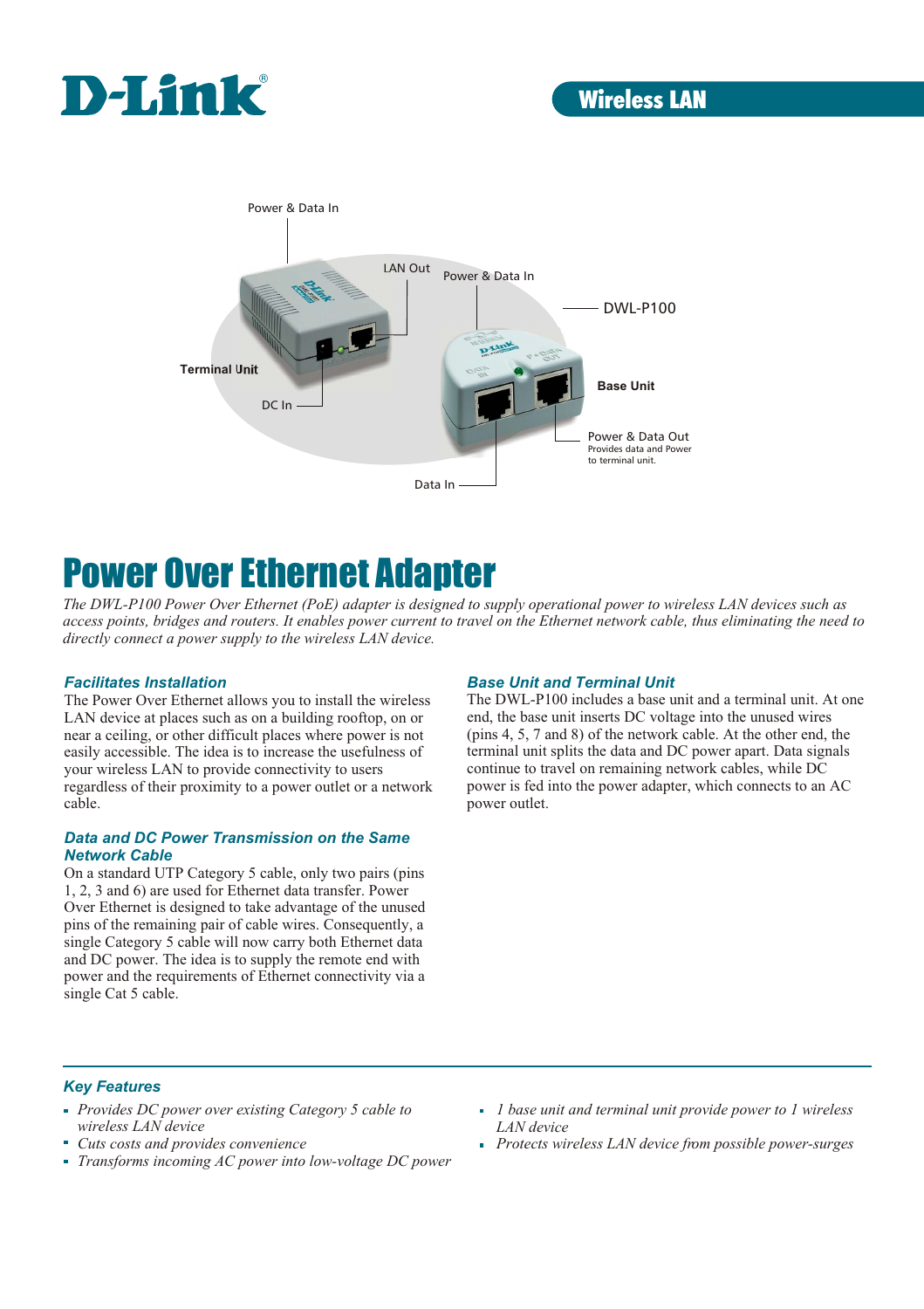



# Power Over Ethernet Adapter

*The DWL-P100 Power Over Ethernet (PoE) adapter is designed to supply operational power to wireless LAN devices such as access points, bridges and routers. It enables power current to travel on the Ethernet network cable, thus eliminating the need to directly connect a power supply to the wireless LAN device.* 

#### *Facilitates Installation*

The Power Over Ethernet allows you to install the wireless LAN device at places such as on a building rooftop, on or near a ceiling, or other difficult places where power is not easily accessible. The idea is to increase the usefulness of your wireless LAN to provide connectivity to users regardless of their proximity to a power outlet or a network cable.

#### *Data and DC Power Transmission on the Same Network Cable*

On a standard UTP Category 5 cable, only two pairs (pins 1, 2, 3 and 6) are used for Ethernet data transfer. Power Over Ethernet is designed to take advantage of the unused pins of the remaining pair of cable wires. Consequently, a single Category 5 cable will now carry both Ethernet data and DC power. The idea is to supply the remote end with power and the requirements of Ethernet connectivity via a single Cat 5 cable.

### *Base Unit and Terminal Unit*

The DWL-P100 includes a base unit and a terminal unit. At one end, the base unit inserts DC voltage into the unused wires (pins 4, 5, 7 and 8) of the network cable. At the other end, the terminal unit splits the data and DC power apart. Data signals continue to travel on remaining network cables, while DC power is fed into the power adapter, which connects to an AC power outlet.

#### *Key Features*

- *Provides DC power over existing Category 5 cable to wireless LAN device*
- *Cuts costs and provides convenience*
- *Transforms incoming AC power into low-voltage DC power*
- *1 base unit and terminal unit provide power to 1 wireless LAN device*
- *Protects wireless LAN device from possible power-surges*